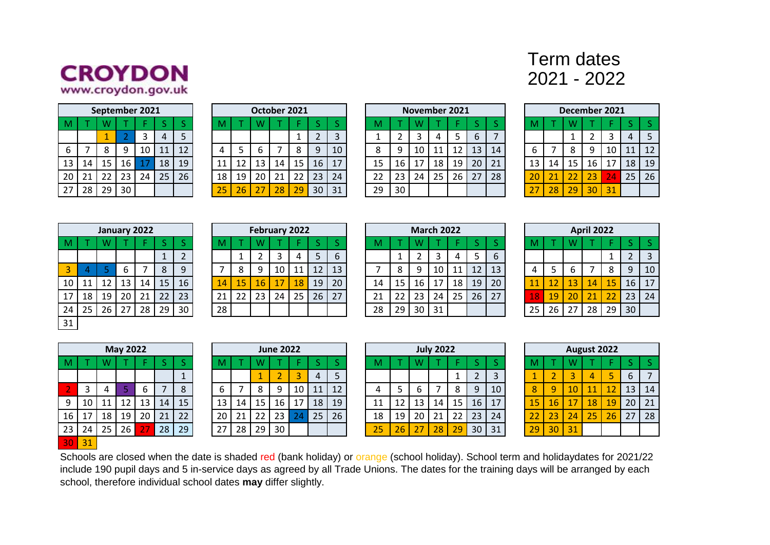

## Term dates 2021 - 2022

|    |    |    | September 2021 |    |    |    |
|----|----|----|----------------|----|----|----|
| M  |    | W  |                |    | S  | ς  |
|    |    |    | 2              | 3  | 4  | 5  |
| 6  |    | 8  | ٩              | 10 | 11 | 12 |
| 13 | 14 | 15 | 16             | 17 | 18 | 19 |
| 20 | 21 | 22 | 23             | 24 | 25 | 26 |
| 27 | 28 | 29 | 30             |    |    |    |

|    |    |    | October 2021 |    |    |    |
|----|----|----|--------------|----|----|----|
| M  |    | w  |              |    | ς  | ς  |
|    |    |    |              | 1  | 2  | 3  |
| 4  | 5  | 6  |              | 8  | ٩  | 10 |
| 11 | 12 | 13 | 14           | 15 | 16 | 17 |
| 18 | 19 | 20 | 21           | 22 | 23 | 24 |
|    | 26 | 27 | 28           |    | 30 | 31 |

|                 |                | September 2021 |    |    |                 |    |    |    | October 2021    |    |                 |    |    |    |    |    | November 2021 |    |    |    |    |    | December 2021 |    |    |    |    |
|-----------------|----------------|----------------|----|----|-----------------|----|----|----|-----------------|----|-----------------|----|----|----|----|----|---------------|----|----|----|----|----|---------------|----|----|----|----|
|                 |                |                |    |    |                 |    |    |    |                 |    |                 |    |    |    |    |    |               |    |    |    |    |    |               |    |    |    |    |
|                 |                |                |    |    |                 |    |    |    |                 |    |                 |    |    |    |    |    |               |    | 6  |    |    |    |               |    |    | 4  | 5  |
| 6               |                |                |    | 10 | 11              | 12 |    |    |                 |    |                 | 9  | 10 | 8  | Q  | 10 | 11            |    | 13 | 14 |    |    |               |    | 10 |    | 12 |
| 13 <sup>1</sup> | 14             | 15             | 16 |    | 18              | 19 | 11 | 12 | 13 <sup>°</sup> | 14 | 15 <sup>1</sup> | 16 |    | 15 | 16 | 17 | 18            | 19 | 20 | 21 | 13 | 14 | 15            | 16 | 17 | 18 | 19 |
| 20              | $\frac{1}{21}$ | 22             | 23 | 24 | 25 <sub>1</sub> | 26 | 18 | 19 | 20              | 21 | 22              | 23 | 24 | 22 | 23 | 24 | 25            | 26 | 27 | 28 | 20 | 21 | 22            | 23 | 24 | 25 | 26 |
| 27 <sub>1</sub> | 28             | 29             | 30 |    |                 |    | 25 | 26 | 77<br>z.        | 28 | 29              | 30 | 31 | 29 | 30 |    |               |    |    |    | 27 | 28 | 29            | 30 | 31 |    |    |
|                 |                |                |    |    |                 |    |    |    |                 |    |                 |    |    |    |    |    |               |    |    |    |    |    |               |    |    |    |    |

|    |    |    | December 2021 |    |    |    |
|----|----|----|---------------|----|----|----|
| M  |    | W  |               |    | S  | ς  |
|    |    | 1  | 2             | 3  | 4  | 5  |
| 6  |    | 8  | q             | 10 | 11 | 12 |
| 13 | 14 | 15 | 16            | 17 | 18 | 19 |
| 20 | 21 | 22 | 23            | 24 | 25 | 26 |
| 27 | 28 | 29 | 30            | 31 |    |    |

|    |    |    | January 2022 |    |    |                |
|----|----|----|--------------|----|----|----------------|
| M  |    | W  |              | F  | S  | S              |
|    |    |    |              |    | 1  | $\overline{2}$ |
| 3  | 4  | 5  | 6            | 7  | 8  | 9              |
| 10 | 11 | 12 | 13           | 14 | 15 | 16             |
| 17 | 18 | 19 | 20           | 21 | 22 | 23             |
| 24 | 25 | 26 | 27           | 28 | 29 | 30             |
| 31 |    |    |              |    |    |                |

|      |         |    |                 | January 2022 |                 |    |    |    | February 2022 |    |    |    |    |    |         |    | <b>March 2022</b> |    |    |             |               |    |              | <b>April 2022</b> |    |                 |    |
|------|---------|----|-----------------|--------------|-----------------|----|----|----|---------------|----|----|----|----|----|---------|----|-------------------|----|----|-------------|---------------|----|--------------|-------------------|----|-----------------|----|
|      |         |    |                 |              |                 |    |    |    |               |    |    |    |    |    |         |    |                   |    |    |             |               |    |              |                   |    |                 |    |
|      |         |    |                 |              |                 |    |    |    |               |    | 4  |    | 6  |    |         |    |                   |    |    | $\mathbf b$ |               |    |              |                   |    |                 |    |
|      |         |    |                 |              | 8               |    |    |    |               | 10 |    | 12 | 13 |    | $\circ$ |    | 10                |    | 12 | 13          |               |    |              |                   | 8  | Q               | 10 |
| 10 l | 11      | 12 | 13              | 14           | 15 <sub>1</sub> | 16 | 14 | 15 | 16            |    | 18 | 19 | 20 | 14 | 15      | 16 | 17                | 18 | 19 | 20          |               |    | 13           | 14                | 15 | 16              | 17 |
|      | 17   18 | 19 | 20 <sub>1</sub> | 21           | 22 <sub>1</sub> | 23 | 21 | 22 | 23            | 24 | 25 | 26 | 27 | 21 | 22      | 23 | 24                | 25 | 26 | 27          | $\mathbf{18}$ | 19 | $20^{\circ}$ | 21                | 22 | 23              | 24 |
| 24   | 25      | 26 | 27              | 28           | 29              | 30 | 28 |    |               |    |    |    |    | 28 | 29      | 30 | 31                |    |    |             | 25            | 26 | 27           | 28                | 29 | 30 <sup>°</sup> |    |
|      |         |    |                 |              |                 |    |    |    |               |    |    |    |    |    |         |    |                   |    |    |             |               |    |              |                   |    |                 |    |

|    |    |    | <b>March 2022</b> |    |    |                |
|----|----|----|-------------------|----|----|----------------|
| M  |    | W  |                   | F  | S  |                |
|    | 1  | 2  | 3                 | 4  | 5  |                |
|    | 8  | 9  | 10                | 11 | 12 |                |
| 14 | 15 | 16 | 17                | 18 | 19 | 2              |
| 21 | 22 | 23 | 24                | 25 | 26 | $\overline{2}$ |
| 28 | 2q | 30 | 31                |    |    |                |

|    | <b>March 2022</b> |    |    |    |    |    |    | April 2022 |    |    |    |
|----|-------------------|----|----|----|----|----|----|------------|----|----|----|
| W  |                   | ь  |    |    | M  |    | W  |            |    | S  |    |
| 2  | 3                 |    | 5  | 6  |    |    |    |            |    | 2  | 3  |
| 9  | 10                |    | 12 | 13 |    |    | 6  |            | 8  | 9  | 10 |
| 16 |                   | 18 | 19 | 20 |    | 12 | 13 | 14         | 15 | 16 |    |
| 23 | 24                | 25 | 26 | 27 | 18 | 19 | 20 | 21         | 22 | 23 | 24 |
| 30 |                   |    |    |    |    | 26 | 27 | 28         | 29 | 30 |    |

|    |    |    | <b>May 2022</b> |    |    |    |
|----|----|----|-----------------|----|----|----|
| M  |    | W  |                 |    | S  | S  |
|    |    |    |                 |    |    |    |
| 2  | 3  | 4  | 5               | 6  |    | 8  |
| 9  | 10 | 11 | 12              | 13 | 14 | 15 |
| 16 | 17 | 18 | 19              | 20 | 21 | 22 |
| 23 | 24 | 25 | 26              | 27 | 28 | 29 |
| Зſ | 31 |    |                 |    |    |    |

|             |    | <b>May 2022</b> |    |    |    |                 |    |    | <b>June 2022</b> |      |    |    |    |    |    | <b>July 2022</b> |    |    |    |    |    |    | <b>August 2022</b> |    |                 |    |
|-------------|----|-----------------|----|----|----|-----------------|----|----|------------------|------|----|----|----|----|----|------------------|----|----|----|----|----|----|--------------------|----|-----------------|----|
|             |    |                 |    |    |    |                 |    |    |                  |      |    |    |    |    |    |                  |    |    |    |    |    |    |                    |    |                 |    |
|             |    |                 |    |    |    |                 |    |    |                  |      | 4  |    |    |    |    |                  |    |    |    |    |    |    |                    |    | b               |    |
|             |    |                 | ь  |    |    |                 |    |    | Q                | 10 I | 11 | 12 |    |    |    |                  |    | 9  | 10 |    | Q  | 10 |                    |    | 13              | 14 |
| $9 \mid 10$ | 11 |                 | 13 | 14 | 15 | 13              | 14 | 15 | 16               | -17  | 18 | 19 |    |    | 13 | 14               | 15 | 16 | 17 | 15 | 16 | 17 | <b>18</b>          | 19 | 20 <sub>1</sub> | 21 |
| 16   17     | 18 | 19 <sup>1</sup> | 20 | 21 | 22 | 20              | 21 | 22 | 23               |      | 25 | 26 | 18 | 19 | 20 | 21               | 22 | 23 | 24 |    | 23 | 24 | 25                 | 26 | 27              | 28 |
| 23 24       | 25 | 26              |    | 28 | 29 | 27 <sub>1</sub> | 28 | 29 | 30               |      |    |    | 25 | 26 |    | 28               | 29 | 30 | 31 | 29 | 30 | 31 |                    |    |                 |    |

|    | <b>June 2022</b> |    |    |    |    |    |    | <b>July 2022</b> |    |    |                |
|----|------------------|----|----|----|----|----|----|------------------|----|----|----------------|
| N  |                  |    |    |    | M  |    |    |                  |    |    | c              |
|    |                  | ₹  |    |    |    |    |    |                  |    |    | Ē              |
| 8  | 9                | 10 |    | 12 |    |    | 6  |                  | 8  | q  | 1              |
| .5 | 16               |    | 18 | 19 | 11 |    | 13 | 14               | 15 | 16 | $\mathbf 1$    |
| 2  | 23               | 24 | 25 | 26 | 18 | 19 | 20 | 21               | 22 | 23 | 2 <sub>0</sub> |
| 9  |                  |    |    |    |    |    |    |                  |    |    | 3              |

|    |    |    | August 2022 |    |    |    |
|----|----|----|-------------|----|----|----|
| M  |    | W  |             |    | S  | S  |
|    | 2  | З  |             | 5  | 6  |    |
| 8  | q  | 10 | 11          | 12 | 13 | 14 |
| 15 | 16 | 17 | 18          | 19 | 20 | 21 |
| 22 | 23 | 24 | 25          | 26 | 27 | 28 |
|    |    | 31 |             |    |    |    |

Schools are closed when the date is shaded red (bank holiday) or orange (school holiday). School term and holidaydates for 2021/22 include 190 pupil days and 5 in-service days as agreed by all Trade Unions. The dates for the training days will be arranged by each school, therefore individual school dates **may** differ slightly.